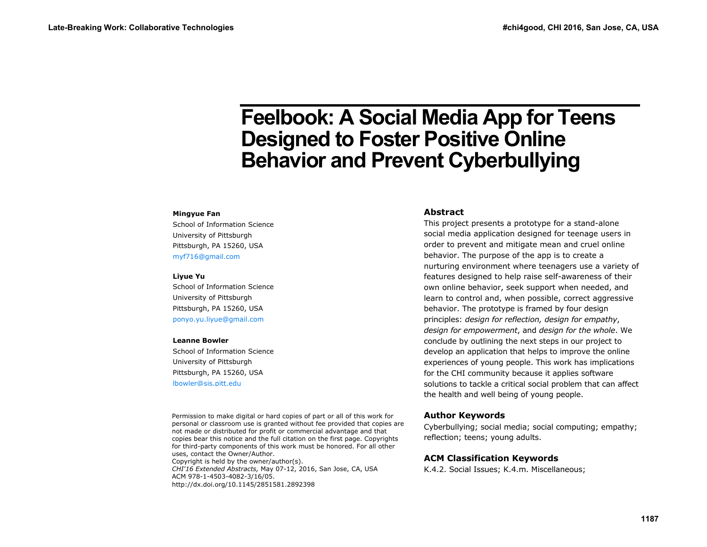# **Feelbook: A Social Media App for Teens Designed to Foster Positive Online Behavior and Prevent Cyberbullying**

#### **Mingyue Fan**

School of Information Science University of Pittsburgh Pittsburgh, PA 15260, USA myf716@gmail.com

#### **Liyue Yu**

School of Information Science University of Pittsburgh Pittsburgh, PA 15260, USA ponyo.yu.liyue@gmail.com

#### **Leanne Bowler**

School of Information Science University of Pittsburgh Pittsburgh, PA 15260, USA lbowler@sis.pitt.edu

Permission to make digital or hard copies of part or all of this work for personal or classroom use is granted without fee provided that copies are not made or distributed for profit or commercial advantage and that copies bear this notice and the full citation on the first page. Copyrights for third-party components of this work must be honored. For all other uses, contact the Owner/Author. Copyright is held by the owner/author(s). *CHI'16 Extended Abstracts,* May 07-12, 2016, San Jose, CA, USA ACM 978-1-4503-4082-3/16/05. http://dx.doi.org/10.1145/2851581.2892398

#### **Abstract**

This project presents a prototype for a stand-alone social media application designed for teenage users in order to prevent and mitigate mean and cruel online behavior. The purpose of the app is to create a nurturing environment where teenagers use a variety of features designed to help raise self-awareness of their own online behavior, seek support when needed, and learn to control and, when possible, correct aggressive behavior. The prototype is framed by four design principles: *design for reflection, design for empathy*, *design for empowerment*, and *design for the whole*. We conclude by outlining the next steps in our project to develop an application that helps to improve the online experiences of young people. This work has implications for the CHI community because it applies software solutions to tackle a critical social problem that can affect the health and well being of young people.

#### **Author Keywords**

Cyberbullying; social media; social computing; empathy; reflection; teens; young adults.

#### **ACM Classification Keywords**

K.4.2. Social Issues; K.4.m. Miscellaneous;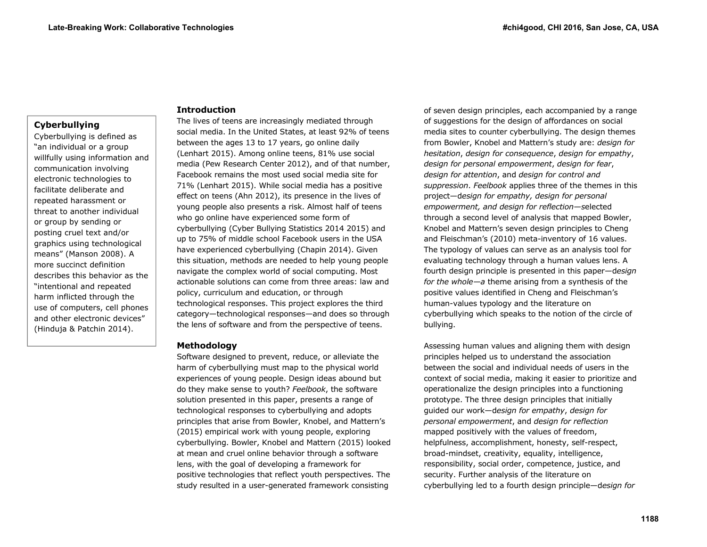# **Cyberbullying**

Cyberbullying is defined as "an individual or a group willfully using information and communication involving electronic technologies to facilitate deliberate and repeated harassment or threat to another individual or group by sending or posting cruel text and/or graphics using technological means" (Manson 2008). A more succinct definition describes this behavior as the "intentional and repeated harm inflicted through the use of computers, cell phones and other electronic devices" (Hinduja & Patchin 2014).

# **Introduction**

The lives of teens are increasingly mediated through social media. In the United States, at least 92% of teens between the ages 13 to 17 years, go online daily (Lenhart 2015). Among online teens, 81% use social media (Pew Research Center 2012), and of that number, Facebook remains the most used social media site for 71% (Lenhart 2015). While social media has a positive effect on teens (Ahn 2012), its presence in the lives of young people also presents a risk. Almost half of teens who go online have experienced some form of cyberbullying (Cyber Bullying Statistics 2014 2015) and up to 75% of middle school Facebook users in the USA have experienced cyberbullying (Chapin 2014). Given this situation, methods are needed to help young people navigate the complex world of social computing. Most actionable solutions can come from three areas: law and policy, curriculum and education, or through technological responses. This project explores the third category—technological responses—and does so through the lens of software and from the perspective of teens.

# **Methodology**

Software designed to prevent, reduce, or alleviate the harm of cyberbullying must map to the physical world experiences of young people. Design ideas abound but do they make sense to youth? *Feelbook*, the software solution presented in this paper, presents a range of technological responses to cyberbullying and adopts principles that arise from Bowler, Knobel, and Mattern's (2015) empirical work with young people, exploring cyberbullying. Bowler, Knobel and Mattern (2015) looked at mean and cruel online behavior through a software lens, with the goal of developing a framework for positive technologies that reflect youth perspectives. The study resulted in a user-generated framework consisting

of seven design principles, each accompanied by a range of suggestions for the design of affordances on social media sites to counter cyberbullying. The design themes from Bowler, Knobel and Mattern's study are: *design for hesitation*, *design for consequence*, *design for empathy*, *design for personal empowerment*, *design for fear*, *design for attention*, and *design for control and suppression*. *Feelbook* applies three of the themes in this project—d*esign for empathy, design for personal empowerment, and design for reflection—s*elected through a second level of analysis that mapped Bowler, Knobel and Mattern's seven design principles to Cheng and Fleischman's (2010) meta-inventory of 16 values. The typology of values can serve as an analysis tool for evaluating technology through a human values lens. A fourth design principle is presented in this paper—d*esign for the whole—a* theme arising from a synthesis of the positive values identified in Cheng and Fleischman's human-values typology and the literature on cyberbullying which speaks to the notion of the circle of bullying.

Assessing human values and aligning them with design principles helped us to understand the association between the social and individual needs of users in the context of social media, making it easier to prioritize and operationalize the design principles into a functioning prototype. The three design principles that initially guided our work—d*esign for empathy*, *design for personal empowerment*, and *design for reflection* mapped positively with the values of freedom, helpfulness, accomplishment, honesty, self-respect, broad-mindset, creativity, equality, intelligence, responsibility, social order, competence, justice, and security. Further analysis of the literature on cyberbullying led to a fourth design principle—d*esign for*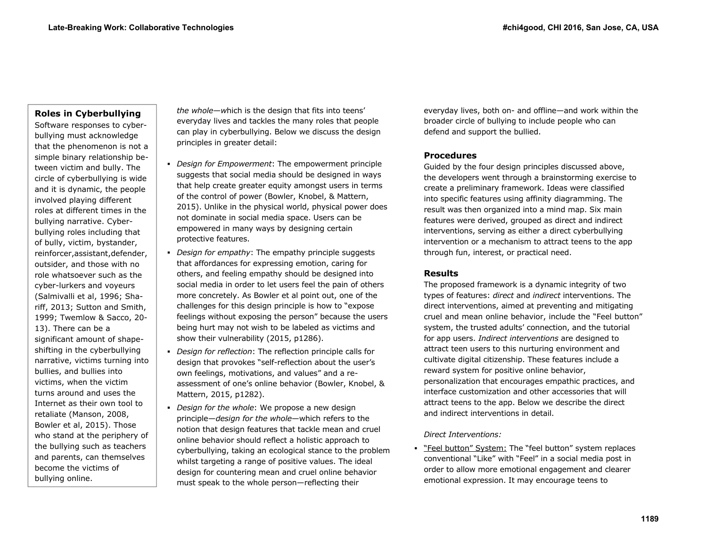# **Roles in Cyberbullying**

Software responses to cyberbullying must acknowledge that the phenomenon is not a simple binary relationship between victim and bully. The circle of cyberbullying is wide and it is dynamic, the people involved playing different roles at different times in the bullying narrative. Cyberbullying roles including that of bully, victim, bystander, reinforcer,assistant,defender, outsider, and those with no role whatsoever such as the cyber-lurkers and voyeurs (Salmivalli et al, 1996; Shariff, 2013; Sutton and Smith, 1999; Twemlow & Sacco, 20- 13). There can be a significant amount of shapeshifting in the cyberbullying narrative, victims turning into bullies, and bullies into victims, when the victim turns around and uses the Internet as their own tool to retaliate (Manson, 2008, Bowler et al, 2015). Those who stand at the periphery of the bullying such as teachers and parents, can themselves become the victims of bullying online.

*the whole—w*hich is the design that fits into teens' everyday lives and tackles the many roles that people can play in cyberbullying. Below we discuss the design principles in greater detail:

- *Design for Empowerment*: The empowerment principle suggests that social media should be designed in ways that help create greater equity amongst users in terms of the control of power (Bowler, Knobel, & Mattern, 2015). Unlike in the physical world, physical power does not dominate in social media space. Users can be empowered in many ways by designing certain protective features.
- *Design for empathy*: The empathy principle suggests that affordances for expressing emotion, caring for others, and feeling empathy should be designed into social media in order to let users feel the pain of others more concretely. As Bowler et al point out, one of the challenges for this design principle is how to "expose feelings without exposing the person" because the users being hurt may not wish to be labeled as victims and show their vulnerability (2015, p1286).
- *Design for reflection*: The reflection principle calls for design that provokes "self-reflection about the user's own feelings, motivations, and values" and a reassessment of one's online behavior (Bowler, Knobel, & Mattern, 2015, p1282).
- *Design for the whole*: We propose a new design principle—*design for the whole*—which refers to the notion that design features that tackle mean and cruel online behavior should reflect a holistic approach to cyberbullying, taking an ecological stance to the problem whilst targeting a range of positive values. The ideal design for countering mean and cruel online behavior must speak to the whole person—reflecting their

everyday lives, both on- and offline—and work within the broader circle of bullying to include people who can defend and support the bullied.

# **Procedures**

Guided by the four design principles discussed above, the developers went through a brainstorming exercise to create a preliminary framework. Ideas were classified into specific features using affinity diagramming. The result was then organized into a mind map. Six main features were derived, grouped as direct and indirect interventions, serving as either a direct cyberbullying intervention or a mechanism to attract teens to the app through fun, interest, or practical need.

#### **Results**

The proposed framework is a dynamic integrity of two types of features: *direct* and *indirect* interventions. The direct interventions, aimed at preventing and mitigating cruel and mean online behavior, include the "Feel button" system, the trusted adults' connection, and the tutorial for app users. *Indirect interventions* are designed to attract teen users to this nurturing environment and cultivate digital citizenship. These features include a reward system for positive online behavior, personalization that encourages empathic practices, and interface customization and other accessories that will attract teens to the app. Below we describe the direct and indirect interventions in detail.

#### *Direct Interventions:*

" "Feel button" System: The "feel button" system replaces conventional "Like" with "Feel" in a social media post in order to allow more emotional engagement and clearer emotional expression. It may encourage teens to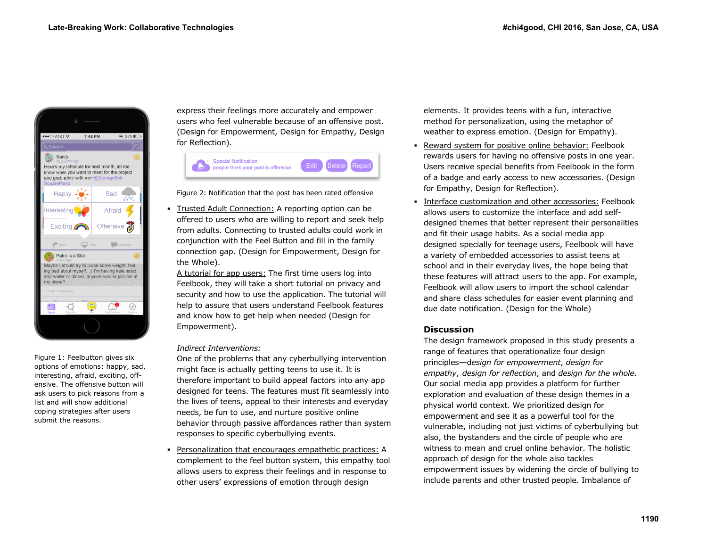

Figure 1: Feelbutton gives six Figure 1: Feelbutton gives six<br>options of emotions: happy, sad, interesting, afraid, exciting, offensive. The offensive button will ask users to pick reasons from a list and will show additional coping str rategies after users submit the reasons.

express their feelings more accurately and empower users who feel vulnerable because of an offensive post. (Design for Empowerment, Design for Empathy, Design for Reflection).

|  | Special Notification:<br>people think your post is offensive |  | Edit Delete Report |  |
|--|--------------------------------------------------------------|--|--------------------|--|
|--|--------------------------------------------------------------|--|--------------------|--|

Figure 2: Notification that the post has been rated offensive

п Trusted Adult Connection: A reporting option can be offered to users who are willing to report and seek help from adults. Connecting to trusted adults could work in conjun nction with the Fe el Button and fill i n the family connection gap. (Design for Empowerment, Design for the Whole).

A tutorial for app users: The first time users log into Feelbook, they will take a short tutorial on privacy and security and how to use the application. The tutorial will help to assure that users understand Feelbook features and know how to get help when needed (Design for Empo werment).

#### *Indireect Interventions:*

One of the problems that any cyberbullying intervention might face is actually getting teens to use it. It is therefore important to build appeal factors into any app designed for teens. The features must fit seamlessly into the lives of teens, appeal to their interests and everyday needs, be fun to use, and nurture positive online behavior through passive affordances rather than system responses to specific cyberbullying events.

п **Personalization that encourages empathetic practices: A** compl lement to the feel button system, th his empathy tool allows s users to express their feelings and d in response to other users' expressions of emotion through design

elements. It provides teens with a fun, interactive method for personalization, using the metaph hor of weather to express emotion. (Design for Empathy).

- г **• Reward system for positive online behavior: Feelbook** rewards users for having no offensive posts in one year. Users receive special benefits from Feelbook in the form of a badge e and early access to new accessoriees. (Design for Empathy, Design for Reflection).
- Interface customization and other accessories: Feelbook allows users to customize the interface and add selfdesigned themes that better represent their personalities and fit their usage habits. As a social media app designed s specially for teena ge users, Feelboo k will have a variety of embedded accessories to assist teens at school and in their everyday lives, the hope being that these features will attract users to the app. For example, Feelbook will allow users to import the school calendar and share class schedules for easier event planning and due date notification. (Design for the Whole)

# **Discussioon**

The design framework proposed in this study presents a range of features that operationalize four design principles ——d*esign for empo wwerment*, *design f for empathy*, *d design for reflectio on*, and *design for r the whole*. Our social media app provid es a platform for f further exploration and evaluation of these design themes in a physical world context. We prioritized design for empowerment and see it as a powerful tool for the vulnerable, including not just victims of cyberbullying but also, the bystanders and the circle of people who are witness to mean and cruel online behavior. The holistic approach of design for the whole also tackles empowerment issues by widening the circle of bullying to include parents and other trusted people. Imbalance of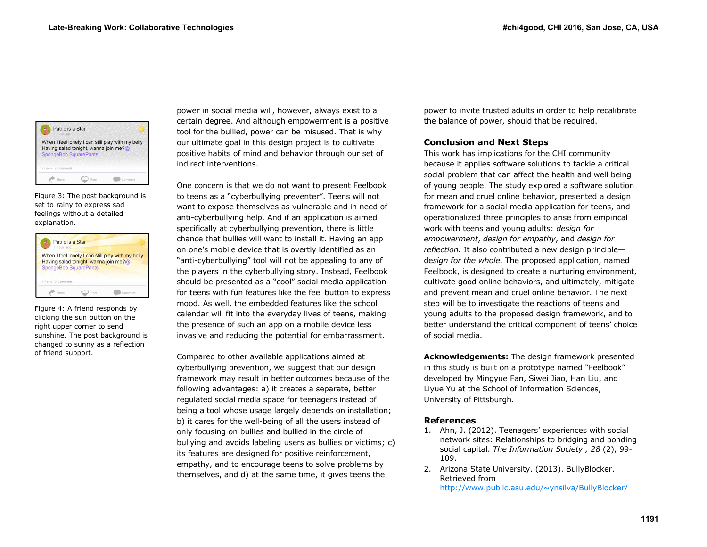

Figure 3: The post background is set to rainy to express sad feelings without a detailed explanation.

| Patric is a Star<br>1 hour ago                                         |     |                                                    |
|------------------------------------------------------------------------|-----|----------------------------------------------------|
| Having salad tonight, wanna join me?@-<br><b>SpongeBob SquarePants</b> |     | When I feel lonely I can still play with my belly. |
| 17 Feels 9 Comments                                                    |     |                                                    |
| Share                                                                  | Fee | Commont                                            |

Figure 4: A friend responds by clicking the sun button on the right upper corner to send sunshine. The post background is changed to sunny as a reflection of friend support.

power in social media will, however, always exist to a certain degree. And although empowerment is a positive tool for the bullied, power can be misused. That is why our ultimate goal in this design project is to cultivate positive habits of mind and behavior through our set of indirect interventions.

One concern is that we do not want to present Feelbook to teens as a "cyberbullying preventer". Teens will not want to expose themselves as vulnerable and in need of anti-cyberbullying help. And if an application is aimed specifically at cyberbullying prevention, there is little chance that bullies will want to install it. Having an app on one's mobile device that is overtly identified as an "anti-cyberbullying" tool will not be appealing to any of the players in the cyberbullying story. Instead, Feelbook should be presented as a "cool" social media application for teens with fun features like the feel button to express mood. As well, the embedded features like the school calendar will fit into the everyday lives of teens, making the presence of such an app on a mobile device less invasive and reducing the potential for embarrassment.

Compared to other available applications aimed at cyberbullying prevention, we suggest that our design framework may result in better outcomes because of the following advantages: a) it creates a separate, better regulated social media space for teenagers instead of being a tool whose usage largely depends on installation; b) it cares for the well-being of all the users instead of only focusing on bullies and bullied in the circle of bullying and avoids labeling users as bullies or victims; c) its features are designed for positive reinforcement, empathy, and to encourage teens to solve problems by themselves, and d) at the same time, it gives teens the

power to invite trusted adults in order to help recalibrate the balance of power, should that be required.

# **Conclusion and Next Steps**

This work has implications for the CHI community because it applies software solutions to tackle a critical social problem that can affect the health and well being of young people. The study explored a software solution for mean and cruel online behavior, presented a design framework for a social media application for teens, and operationalized three principles to arise from empirical work with teens and young adults: *design for empowerment*, *design for empathy*, and *design for reflection.* It also contributed a new design principle de*sign for the whole*. The proposed application, named Feelbook, is designed to create a nurturing environment, cultivate good online behaviors, and ultimately, mitigate and prevent mean and cruel online behavior. The next step will be to investigate the reactions of teens and young adults to the proposed design framework, and to better understand the critical component of teens' choice of social media.

**Acknowledgements:** The design framework presented in this study is built on a prototype named "Feelbook" developed by Mingyue Fan, Siwei Jiao, Han Liu, and Liyue Yu at the School of Information Sciences, University of Pittsburgh.

# **References**

- 1. Ahn, J. (2012). Teenagers' experiences with social network sites: Relationships to bridging and bonding social capital. *The Information Society , 28* (2), 99- 109.
- 2. Arizona State University. (2013). BullyBlocker. Retrieved from http://www.public.asu.edu/~ynsilva/BullyBlocker/